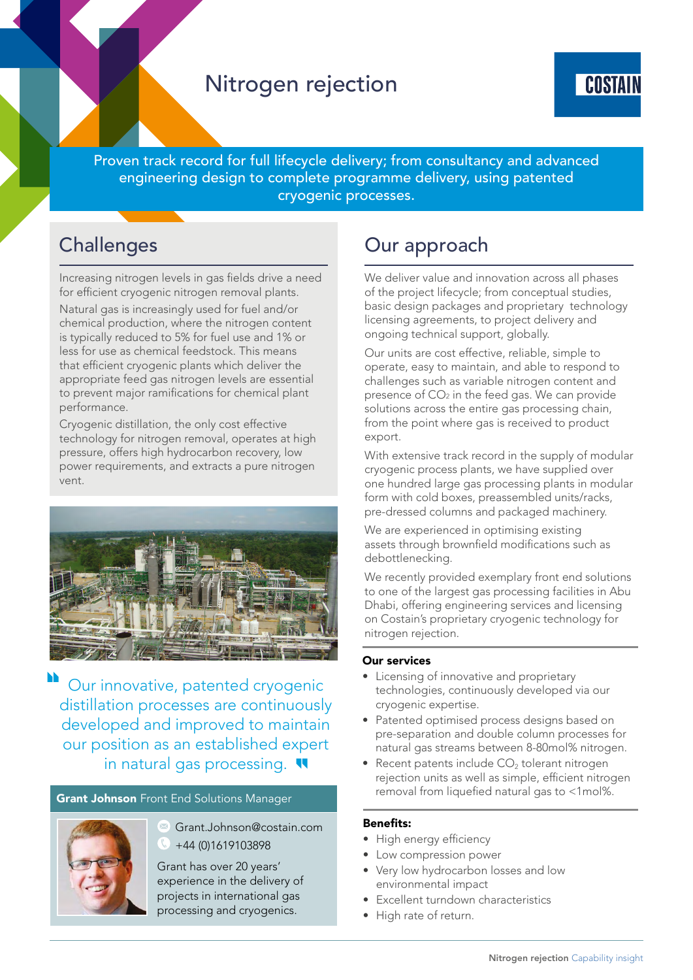## Nitrogen rejection



Proven track record for full lifecycle delivery; from consultancy and advanced engineering design to complete programme delivery, using patented cryogenic processes.

## **Challenges**

Increasing nitrogen levels in gas fields drive a need for efficient cryogenic nitrogen removal plants.

Natural gas is increasingly used for fuel and/or chemical production, where the nitrogen content is typically reduced to 5% for fuel use and 1% or less for use as chemical feedstock. This means that efficient cryogenic plants which deliver the appropriate feed gas nitrogen levels are essential to prevent major ramifications for chemical plant performance.

Cryogenic distillation, the only cost effective technology for nitrogen removal, operates at high pressure, offers high hydrocarbon recovery, low power requirements, and extracts a pure nitrogen vent.



Our innovative, patented cryogenic distillation processes are continuously developed and improved to maintain our position as an established expert in natural gas processing.

## **Grant Johnson** Front End Solutions Manager



Grant.Johnson@costain.com +44 (0)1619103898

Grant has over 20 years' experience in the delivery of projects in international gas processing and cryogenics.

# Our approach

We deliver value and innovation across all phases of the project lifecycle; from conceptual studies, basic design packages and proprietary technology licensing agreements, to project delivery and ongoing technical support, globally.

Our units are cost effective, reliable, simple to operate, easy to maintain, and able to respond to challenges such as variable nitrogen content and presence of  $CO<sub>2</sub>$  in the feed gas. We can provide solutions across the entire gas processing chain, from the point where gas is received to product export.

With extensive track record in the supply of modular cryogenic process plants, we have supplied over one hundred large gas processing plants in modular form with cold boxes, preassembled units/racks, pre-dressed columns and packaged machinery.

We are experienced in optimising existing assets through brownfield modifications such as debottlenecking.

We recently provided exemplary front end solutions to one of the largest gas processing facilities in Abu Dhabi, offering engineering services and licensing on Costain's proprietary cryogenic technology for nitrogen rejection.

#### Our services

- Licensing of innovative and proprietary technologies, continuously developed via our cryogenic expertise.
- Patented optimised process designs based on pre-separation and double column processes for natural gas streams between 8-80mol% nitrogen.
- Recent patents include  $CO<sub>2</sub>$  tolerant nitrogen rejection units as well as simple, efficient nitrogen removal from liquefied natural gas to <1mol%.

## Benefits:

- High energy efficiency
- Low compression power
- Very low hydrocarbon losses and low environmental impact
- Excellent turndown characteristics
- High rate of return.